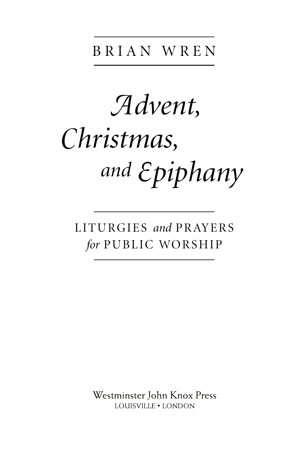## BRIAN WREN

# *Epiphany and Christmas, Advent,*

LITURGIES *and* PRAYERS *for* PUBLIC WORSHIP

> Westminster John Knox Press LOUISVILLE . LONDON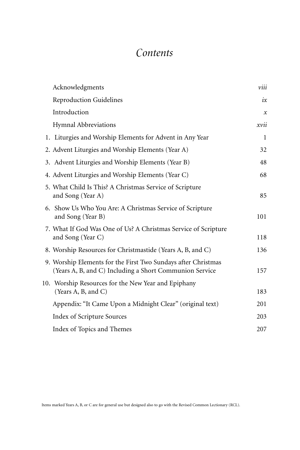## *Contents*

| Acknowledgments                                                                                                          | viii          |
|--------------------------------------------------------------------------------------------------------------------------|---------------|
| Reproduction Guidelines                                                                                                  | ix            |
| Introduction                                                                                                             | $\mathcal{X}$ |
| Hymnal Abbreviations                                                                                                     | xvii          |
| 1. Liturgies and Worship Elements for Advent in Any Year                                                                 | $\mathbf{1}$  |
| 2. Advent Liturgies and Worship Elements (Year A)                                                                        | 32            |
| 3. Advent Liturgies and Worship Elements (Year B)                                                                        | 48            |
| 4. Advent Liturgies and Worship Elements (Year C)                                                                        | 68            |
| 5. What Child Is This? A Christmas Service of Scripture<br>and Song (Year A)                                             | 85            |
| 6. Show Us Who You Are: A Christmas Service of Scripture<br>and Song (Year B)                                            | 101           |
| 7. What If God Was One of Us? A Christmas Service of Scripture<br>and Song (Year C)                                      | 118           |
| 8. Worship Resources for Christmastide (Years A, B, and C)                                                               | 136           |
| 9. Worship Elements for the First Two Sundays after Christmas<br>(Years A, B, and C) Including a Short Communion Service | 157           |
| 10. Worship Resources for the New Year and Epiphany<br>(Years A, B, and C)                                               | 183           |
| Appendix: "It Came Upon a Midnight Clear" (original text)                                                                | 201           |
| Index of Scripture Sources                                                                                               | 203           |
| Index of Topics and Themes                                                                                               | 207           |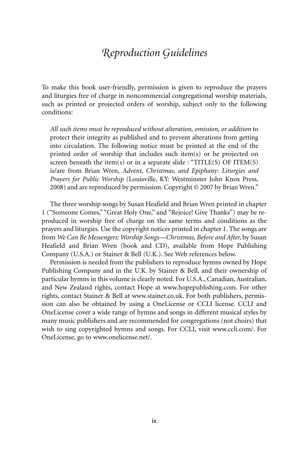## *Reproduction Guidelines*

To make this book user-friendly, permission is given to reproduce the prayers and liturgies free of charge in noncommercial congregational worship materials, such as printed or projected orders of worship, subject only to the following conditions:

*All such items must be reproduced without alteration, omission, or addition* to protect their integrity as published and to prevent alterations from getting into circulation. The following notice must be printed at the end of the printed order of worship that includes such item(s) or be projected on screen beneath the item(s) or in a separate slide : "TITLE(S) OF ITEM(S) is/are from Brian Wren, *Advent, Christmas, and Epiphany: Liturgies and Prayers for Public Worship* (Louisville, KY: Westminster John Knox Press, 2008) and are reproduced by permission. Copyright © 2007 by Brian Wren."

The three worship songs by Susan Heafield and Brian Wren printed in chapter 1 ("Someone Comes," "Great Holy One," and "Rejoice! Give Thanks") may be reproduced in worship free of charge on the same terms and conditions as the prayers and liturgies. Use the copyright notices printed in chapter 1. The songs are from *We Can Be Messengers: Worship Songs—Christmas, Before and After,* by Susan Heafield and Brian Wren (book and CD), available from Hope Publishing Company (U.S.A.) or Stainer & Bell (U.K.). See Web references below.

Permission is needed from the publishers to reproduce hymns owned by Hope Publishing Company and in the U.K. by Stainer & Bell, and their ownership of particular hymns in this volume is clearly noted. For U.S.A., Canadian, Australian, and New Zealand rights, contact Hope at www.hopepublishing.com. For other rights, contact Stainer & Bell at www.stainer.co.uk. For both publishers, permission can also be obtained by using a OneLicense or CCLI license. CCLI and OneLicense cover a wide range of hymns and songs in different musical styles by many music publishers and are recommended for congregations (not choirs) that wish to sing copyrighted hymns and songs. For CCLI, visit www.ccli.com/. For OneLicense, go to www.onelicense.net/.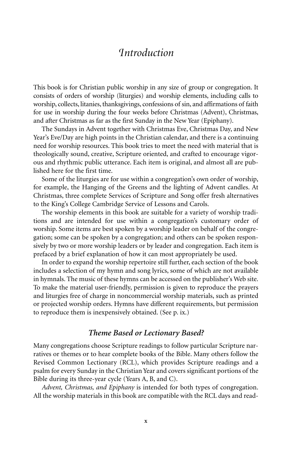### *Introduction*

This book is for Christian public worship in any size of group or congregation. It consists of orders of worship (liturgies) and worship elements, including calls to worship, collects, litanies, thanksgivings, confessions of sin, and affirmations of faith for use in worship during the four weeks before Christmas (Advent), Christmas, and after Christmas as far as the first Sunday in the New Year (Epiphany).

The Sundays in Advent together with Christmas Eve, Christmas Day, and New Year's Eve/Day are high points in the Christian calendar, and there is a continuing need for worship resources. This book tries to meet the need with material that is theologically sound, creative, Scripture oriented, and crafted to encourage vigorous and rhythmic public utterance. Each item is original, and almost all are published here for the first time.

Some of the liturgies are for use within a congregation's own order of worship, for example, the Hanging of the Greens and the lighting of Advent candles. At Christmas, three complete Services of Scripture and Song offer fresh alternatives to the King's College Cambridge Service of Lessons and Carols.

The worship elements in this book are suitable for a variety of worship traditions and are intended for use within a congregation's customary order of worship. Some items are best spoken by a worship leader on behalf of the congregation; some can be spoken by a congregation; and others can be spoken responsively by two or more worship leaders or by leader and congregation. Each item is prefaced by a brief explanation of how it can most appropriately be used.

In order to expand the worship repertoire still further, each section of the book includes a selection of my hymn and song lyrics, some of which are not available in hymnals. The music of these hymns can be accessed on the publisher's Web site. To make the material user-friendly, permission is given to reproduce the prayers and liturgies free of charge in noncommercial worship materials, such as printed or projected worship orders. Hymns have different requirements, but permission to reproduce them is inexpensively obtained. (See p. ix.)

#### *Theme Based or Lectionary Based?*

Many congregations choose Scripture readings to follow particular Scripture narratives or themes or to hear complete books of the Bible. Many others follow the Revised Common Lectionary (RCL), which provides Scripture readings and a psalm for every Sunday in the Christian Year and covers significant portions of the Bible during its three-year cycle (Years A, B, and C).

*Advent, Christmas, and Epiphany* is intended for both types of congregation. All the worship materials in this book are compatible with the RCL days and read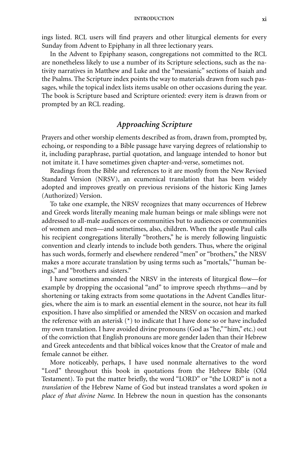ings listed. RCL users will find prayers and other liturgical elements for every Sunday from Advent to Epiphany in all three lectionary years.

In the Advent to Epiphany season, congregations not committed to the RCL are nonetheless likely to use a number of its Scripture selections, such as the nativity narratives in Matthew and Luke and the "messianic" sections of Isaiah and the Psalms. The Scripture index points the way to materials drawn from such passages, while the topical index lists items usable on other occasions during the year. The book is Scripture based and Scripture oriented: every item is drawn from or prompted by an RCL reading.

#### *Approaching Scripture*

Prayers and other worship elements described as from, drawn from, prompted by, echoing, or responding to a Bible passage have varying degrees of relationship to it, including paraphrase, partial quotation, and language intended to honor but not imitate it. I have sometimes given chapter-and-verse, sometimes not.

Readings from the Bible and references to it are mostly from the New Revised Standard Version (NRSV), an ecumenical translation that has been widely adopted and improves greatly on previous revisions of the historic King James (Authorized) Version.

To take one example, the NRSV recognizes that many occurrences of Hebrew and Greek words literally meaning male human beings or male siblings were not addressed to all-male audiences or communities but to audiences or communities of women and men—and sometimes, also, children. When the apostle Paul calls his recipient congregations literally "brothers," he is merely following linguistic convention and clearly intends to include both genders. Thus, where the original has such words, formerly and elsewhere rendered "men" or "brothers," the NRSV makes a more accurate translation by using terms such as "mortals," "human beings," and "brothers and sisters."

I have sometimes amended the NRSV in the interests of liturgical flow—for example by dropping the occasional "and" to improve speech rhythms—and by shortening or taking extracts from some quotations in the Advent Candles liturgies, where the aim is to mark an essential element in the source, not hear its full exposition. I have also simplified or amended the NRSV on occasion and marked the reference with an asterisk  $(*)$  to indicate that I have done so or have included my own translation. I have avoided divine pronouns (God as "he,""him," etc.) out of the conviction that English pronouns are more gender laden than their Hebrew and Greek antecedents and that biblical voices know that the Creator of male and female cannot be either.

More noticeably, perhaps, I have used nonmale alternatives to the word "Lord" throughout this book in quotations from the Hebrew Bible (Old Testament). To put the matter briefly, the word "LORD" or "the LORD" is not a *translation* of the Hebrew Name of God but instead translates a word spoken *in place of that divine Name.* In Hebrew the noun in question has the consonants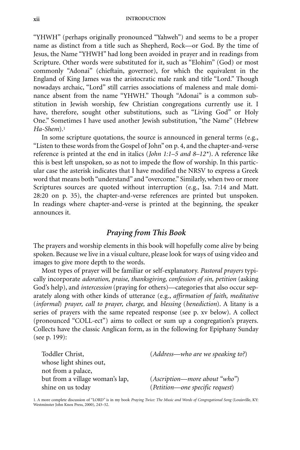"YHWH" (perhaps originally pronounced "Yahweh") and seems to be a proper name as distinct from a title such as Shepherd, Rock—or God. By the time of Jesus, the Name "YHWH" had long been avoided in prayer and in readings from Scripture. Other words were substituted for it, such as "Elohim" (God) or most commonly "Adonai" (chieftain, governor), for which the equivalent in the England of King James was the aristocratic male rank and title "Lord." Though nowadays archaic, "Lord" still carries associations of maleness and male dominance absent from the name "YHWH." Though "Adonai" is a common substitution in Jewish worship, few Christian congregations currently use it. I have, therefore, sought other substitutions, such as "Living God" or Holy One." Sometimes I have used another Jewish substitution, "the Name" (Hebrew *Ha-Shem*).1

In some scripture quotations, the source is announced in general terms (e.g., "Listen to these words from the Gospel of John" on p. 4, and the chapter-and-verse reference is printed at the end in italics (*John 1:1–5 and 8–12\**). A reference like this is best left unspoken, so as not to impede the flow of worship. In this particular case the asterisk indicates that I have modified the NRSV to express a Greek word that means both "understand" and "overcome." Similarly, when two or more Scriptures sources are quoted without interruption (e.g., Isa. 7:14 and Matt. 28:20 on p. 35), the chapter-and-verse references are printed but unspoken. In readings where chapter-and-verse is printed at the beginning, the speaker announces it.

#### *Praying from This Book*

The prayers and worship elements in this book will hopefully come alive by being spoken. Because we live in a visual culture, please look for ways of using video and images to give more depth to the words.

Most types of prayer will be familiar or self-explanatory. *Pastoral prayers* typically incorporate *adoration, praise, thanksgiving, confession of sin, petition* (asking God's help), and *intercession* (praying for others)—categories that also occur separately along with other kinds of utterance (e.g., *affirmation of faith, meditative* (*informal*) *prayer, call to prayer, charge,* and *blessing* (*benediction*). A litany is a series of prayers with the same repeated response (see p. xv below). A collect (pronounced "COLL-ect") aims to collect or sum up a congregation's prayers. Collects have the classic Anglican form, as in the following for Epiphany Sunday (see p. 199):

| Toddler Christ,                 | (Address—who are we speaking to?) |
|---------------------------------|-----------------------------------|
| whose light shines out,         |                                   |
| not from a palace,              |                                   |
| but from a village woman's lap, | (Ascription—more about "who")     |
| shine on us today               | (Petition—one specific request)   |

1. A more complete discussion of "LORD" is in my book *Praying Twice: The Music and Words of Congregational Song* (Louisville, KY: Westminster John Knox Press, 2000), 243–52.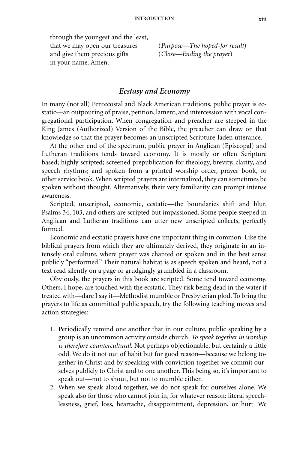through the youngest and the least, that we may open our treasures (*Purpose—The hoped-for result*) and give them precious gifts (*Close—Ending the prayer*) in your name. Amen.

#### *Ecstasy and Economy*

In many (not all) Pentecostal and Black American traditions, public prayer is ecstatic—an outpouring of praise, petition, lament, and intercession with vocal congregational participation. When congregation and preacher are steeped in the King James (Authorized) Version of the Bible, the preacher can draw on that knowledge so that the prayer becomes an unscripted Scripture-laden utterance.

At the other end of the spectrum, public prayer in Anglican (Episcopal) and Lutheran traditions tends toward economy. It is mostly or often Scripture based; highly scripted; screened prepublication for theology, brevity, clarity, and speech rhythms; and spoken from a printed worship order, prayer book, or other service book. When scripted prayers are internalized, they can sometimes be spoken without thought. Alternatively, their very familiarity can prompt intense awareness.

Scripted, unscripted, economic, ecstatic—the boundaries shift and blur. Psalms 34, 103, and others are scripted but impassioned. Some people steeped in Anglican and Lutheran traditions can utter new unscripted collects, perfectly formed.

Economic and ecstatic prayers have one important thing in common. Like the biblical prayers from which they are ultimately derived, they originate in an intensely oral culture, where prayer was chanted or spoken and in the best sense publicly "performed." Their natural habitat is as speech spoken and heard, not a text read silently on a page or grudgingly grumbled in a classroom.

Obviously, the prayers in this book are scripted. Some tend toward economy. Others, I hope, are touched with the ecstatic. They risk being dead in the water if treated with—dare I say it—Methodist mumble or Presbyterian plod. To bring the prayers to life as committed public speech, try the following teaching moves and action strategies:

- 1. Periodically remind one another that in our culture, public speaking by a group is an uncommon activity outside church. *To speak together in worship is therefore countercultural.* Not perhaps objectionable, but certainly a little odd. We do it not out of habit but for good reason—because we belong together in Christ and by speaking with conviction together we commit ourselves publicly to Christ and to one another. This being so, it's important to speak out—not to shout, but not to mumble either.
- 2. When we speak aloud together, we do not speak for ourselves alone. We speak also for those who cannot join in, for whatever reason: literal speechlessness, grief, loss, heartache, disappointment, depression, or hurt. We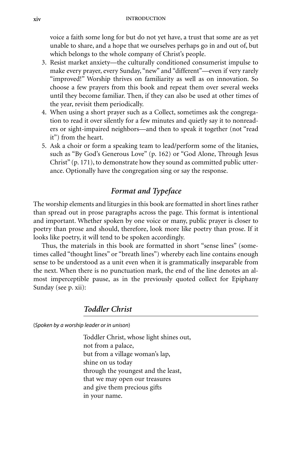voice a faith some long for but do not yet have, a trust that some are as yet unable to share, and a hope that we ourselves perhaps go in and out of, but which belongs to the whole company of Christ's people.

- 3. Resist market anxiety—the culturally conditioned consumerist impulse to make every prayer, every Sunday, "new" and "different"—even if very rarely "improved!" Worship thrives on familiarity as well as on innovation. So choose a few prayers from this book and repeat them over several weeks until they become familiar. Then, if they can also be used at other times of the year, revisit them periodically.
- 4. When using a short prayer such as a Collect, sometimes ask the congregation to read it over silently for a few minutes and quietly say it to nonreaders or sight-impaired neighbors—and then to speak it together (not "read it") from the heart.
- 5. Ask a choir or form a speaking team to lead/perform some of the litanies, such as "By God's Generous Love" (p. 162) or "God Alone, Through Jesus Christ" (p. 171), to demonstrate how they sound as committed public utterance. Optionally have the congregation sing or say the response.

#### *Format and Typeface*

The worship elements and liturgies in this book are formatted in short lines rather than spread out in prose paragraphs across the page. This format is intentional and important. Whether spoken by one voice or many, public prayer is closer to poetry than prose and should, therefore, look more like poetry than prose. If it looks like poetry, it will tend to be spoken accordingly.

Thus, the materials in this book are formatted in short "sense lines" (sometimes called "thought lines" or "breath lines") whereby each line contains enough sense to be understood as a unit even when it is grammatically inseparable from the next. When there is no punctuation mark, the end of the line denotes an almost imperceptible pause, as in the previously quoted collect for Epiphany Sunday (see p. xii):

#### *Toddler Christ*

(Spoken by a worship leader or in unison)

Toddler Christ, whose light shines out, not from a palace, but from a village woman's lap, shine on us today through the youngest and the least, that we may open our treasures and give them precious gifts in your name.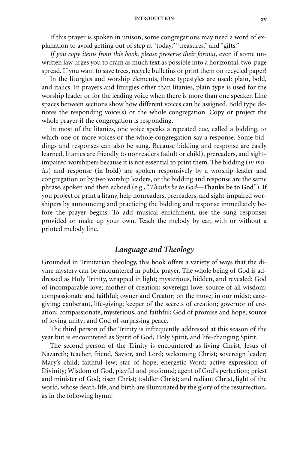#### **INTRODUCTION xv**

If this prayer is spoken in unison, some congregations may need a word of explanation to avoid getting out of step at "today," "treasures," and "gifts."

*If you copy items from this book, please preserve their format,* even if some unwritten law urges you to cram as much text as possible into a horizontal, two-page spread. If you want to save trees, recycle bulletins or print them on recycled paper!

In the liturgies and worship elements, three typestyles are used: plain, bold, and italics. In prayers and liturgies other than litanies, plain type is used for the worship leader or for the leading voice when there is more than one speaker. Line spaces between sections show how different voices can be assigned. Bold type denotes the responding voice(s) or the whole congregation. Copy or project the whole prayer if the congregation is responding.

In most of the litanies, one voice speaks a repeated cue, called a bidding, to which one or more voices or the whole congregation say a response. Some biddings and responses can also be sung. Because bidding and response are easily learned, litanies are friendly to nonreaders (adult or child), prereaders, and sightimpaired worshipers because it is not essential to print them. The bidding (*in italics*) and response (**in bold**) are spoken responsively by a worship leader and congregation or by two worship leaders, or the bidding and response are the same phrase, spoken and then echoed (e.g., "*Thanks be to God*—**Thanks be to God**"). If you project or print a litany, help nonreaders, prereaders, and sight-impaired worshipers by announcing and practicing the bidding and response immediately before the prayer begins. To add musical enrichment, use the sung responses provided or make up your own. Teach the melody by ear, with or without a printed melody line.

#### *Language and Theology*

Grounded in Trinitarian theology, this book offers a variety of ways that the divine mystery can be encountered in public prayer. The whole being of God is addressed as Holy Trinity, wrapped in light; mysterious, hidden, and revealed; God of incomparable love; mother of creation; sovereign love; source of all wisdom; compassionate and faithful; owner and Creator; on the move; in our midst; caregiving; exuberant, life-giving; keeper of the secrets of creation; governor of creation; compassionate, mysterious, and faithful; God of promise and hope; source of loving unity; and God of surpassing peace.

The third person of the Trinity is infrequently addressed at this season of the year but is encountered as Spirit of God, Holy Spirit, and life-changing Spirit.

The second person of the Trinity is encountered as living Christ, Jesus of Nazareth; teacher, friend, Savior, and Lord; welcoming Christ; sovereign leader; Mary's child; faithful Jew; star of hope; energetic Word; active expression of Divinity; Wisdom of God, playful and profound; agent of God's perfection; priest and minister of God; risen Christ; toddler Christ; and radiant Christ, light of the world, whose death, life, and birth are illuminated by the glory of the resurrection, as in the following hymn: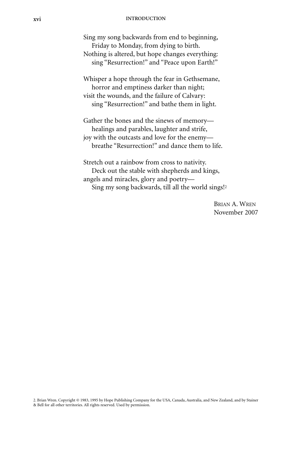#### **xvi INTRODUCTION**

Sing my song backwards from end to beginning, Friday to Monday, from dying to birth. Nothing is altered, but hope changes everything: sing "Resurrection!" and "Peace upon Earth!"

Whisper a hope through the fear in Gethsemane, horror and emptiness darker than night; visit the wounds, and the failure of Calvary: sing "Resurrection!" and bathe them in light.

Gather the bones and the sinews of memory healings and parables, laughter and strife, joy with the outcasts and love for the enemy breathe "Resurrection!" and dance them to life.

Stretch out a rainbow from cross to nativity. Deck out the stable with shepherds and kings, angels and miracles, glory and poetry— Sing my song backwards, till all the world sings!2

> BRIAN A. WREN November 2007

2. Brian Wren. Copyright © 1983, 1995 by Hope Publishing Company for the USA, Canada, Australia, and New Zealand, and by Stainer & Bell for all other territories. All rights reserved. Used by permission.